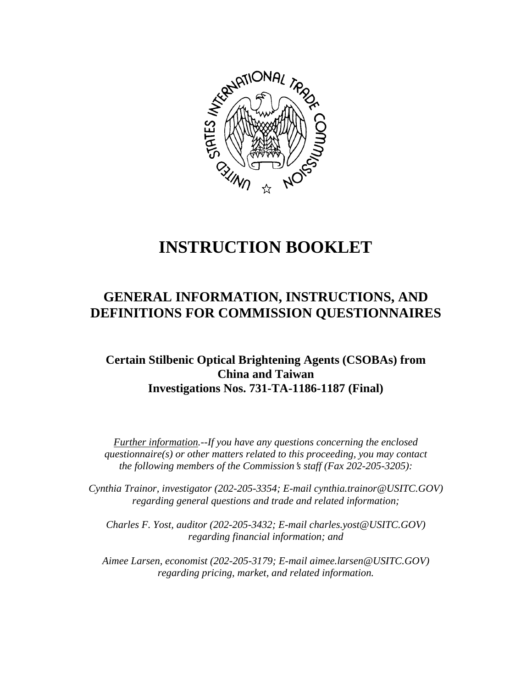

# **INSTRUCTION BOOKLET**

## **GENERAL INFORMATION, INSTRUCTIONS, AND DEFINITIONS FOR COMMISSION QUESTIONNAIRES**

### **Certain Stilbenic Optical Brightening Agents (CSOBAs) from China and Taiwan Investigations Nos. 731-TA-1186-1187 (Final)**

*Further information.--If you have any questions concerning the enclosed questionnaire(s) or other matters related to this proceeding, you may contact the following members of the Commission*=*s staff (Fax 202-205-3205):* 

 *Cynthia Trainor, investigator (202-205-3354; E-mail cynthia.trainor@USITC.GOV) regarding general questions and trade and related information;* 

 *Charles F. Yost, auditor (202-205-3432; E-mail charles.yost@USITC.GOV) regarding financial information; and* 

 *Aimee Larsen, economist (202-205-3179; E-mail aimee.larsen@USITC.GOV) regarding pricing, market, and related information.*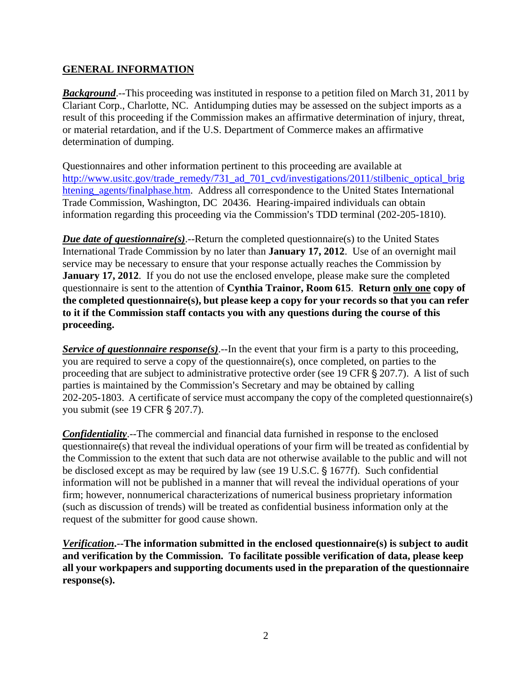#### **GENERAL INFORMATION**

**Background.**--This proceeding was instituted in response to a petition filed on March 31, 2011 by Clariant Corp., Charlotte, NC. Antidumping duties may be assessed on the subject imports as a result of this proceeding if the Commission makes an affirmative determination of injury, threat, or material retardation, and if the U.S. Department of Commerce makes an affirmative determination of dumping.

Questionnaires and other information pertinent to this proceeding are available at http://www.usitc.gov/trade\_remedy/731\_ad\_701\_cvd/investigations/2011/stilbenic\_optical\_brig\_ htening\_agents/finalphase.htm. Address all correspondence to the United States International Trade Commission, Washington, DC 20436. Hearing-impaired individuals can obtain information regarding this proceeding via the Commission's TDD terminal (202-205-1810).

*Due date of questionnaire(s)*.--Return the completed questionnaire(s) to the United States International Trade Commission by no later than **January 17, 2012**. Use of an overnight mail service may be necessary to ensure that your response actually reaches the Commission by **January 17, 2012**. If you do not use the enclosed envelope, please make sure the completed questionnaire is sent to the attention of **Cynthia Trainor, Room 615**. **Return only one copy of the completed questionnaire(s), but please keep a copy for your records so that you can refer to it if the Commission staff contacts you with any questions during the course of this proceeding.**

*Service of questionnaire response(s).*--In the event that your firm is a party to this proceeding, you are required to serve a copy of the questionnaire(s), once completed, on parties to the proceeding that are subject to administrative protective order (see 19 CFR  $\S 207.7$ ). A list of such parties is maintained by the Commission's Secretary and may be obtained by calling 202-205-1803. A certificate of service must accompany the copy of the completed questionnaire(s) you submit (see 19 CFR § 207.7).

*Confidentiality*.--The commercial and financial data furnished in response to the enclosed questionnaire(s) that reveal the individual operations of your firm will be treated as confidential by the Commission to the extent that such data are not otherwise available to the public and will not be disclosed except as may be required by law (see 19 U.S.C. § 1677f). Such confidential information will not be published in a manner that will reveal the individual operations of your firm; however, nonnumerical characterizations of numerical business proprietary information (such as discussion of trends) will be treated as confidential business information only at the request of the submitter for good cause shown.

*Verification***.--The information submitted in the enclosed questionnaire(s) is subject to audit and verification by the Commission. To facilitate possible verification of data, please keep all your workpapers and supporting documents used in the preparation of the questionnaire response(s).**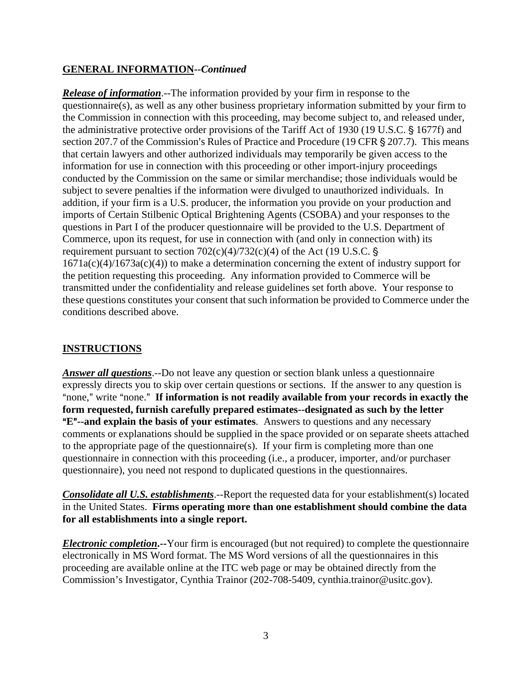#### **GENERAL INFORMATION--***Continued*

*Release of information*.--The information provided by your firm in response to the questionnaire(s), as well as any other business proprietary information submitted by your firm to the Commission in connection with this proceeding, may become subject to, and released under, the administrative protective order provisions of the Tariff Act of 1930 (19 U.S.C. § 1677f) and section 207.7 of the Commission's Rules of Practice and Procedure (19 CFR  $\S$  207.7). This means that certain lawyers and other authorized individuals may temporarily be given access to the information for use in connection with this proceeding or other import-injury proceedings conducted by the Commission on the same or similar merchandise; those individuals would be subject to severe penalties if the information were divulged to unauthorized individuals. In addition, if your firm is a U.S. producer, the information you provide on your production and imports of Certain Stilbenic Optical Brightening Agents (CSOBA) and your responses to the questions in Part I of the producer questionnaire will be provided to the U.S. Department of Commerce, upon its request, for use in connection with (and only in connection with) its requirement pursuant to section  $702(c)(4)/732(c)(4)$  of the Act (19 U.S.C. §  $1671a(c)(4)/1673a(c)(4)$  to make a determination concerning the extent of industry support for the petition requesting this proceeding. Any information provided to Commerce will be transmitted under the confidentiality and release guidelines set forth above. Your response to these questions constitutes your consent that such information be provided to Commerce under the conditions described above.

#### **INSTRUCTIONS**

*Answer all questions*.--Do not leave any question or section blank unless a questionnaire expressly directs you to skip over certain questions or sections. If the answer to any question is "none," write "none." If information is not readily available from your records in exactly the **form requested, furnish carefully prepared estimates--designated as such by the letter E<sup>"</sup>--and explain the basis of your estimates**. Answers to questions and any necessary comments or explanations should be supplied in the space provided or on separate sheets attached to the appropriate page of the questionnaire(s). If your firm is completing more than one questionnaire in connection with this proceeding (i.e., a producer, importer, and/or purchaser questionnaire), you need not respond to duplicated questions in the questionnaires.

*Consolidate all U.S. establishments*.--Report the requested data for your establishment(s) located in the United States. **Firms operating more than one establishment should combine the data for all establishments into a single report.**

*Electronic completion***.--**Your firm is encouraged (but not required) to complete the questionnaire electronically in MS Word format. The MS Word versions of all the questionnaires in this proceeding are available online at the ITC web page or may be obtained directly from the Commission's Investigator, Cynthia Trainor (202-708-5409, cynthia.trainor@usitc.gov).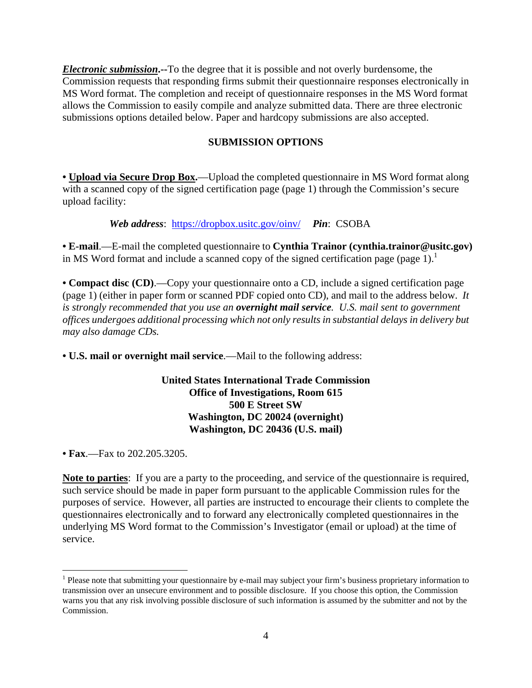*Electronic submission***.--**To the degree that it is possible and not overly burdensome, the Commission requests that responding firms submit their questionnaire responses electronically in MS Word format. The completion and receipt of questionnaire responses in the MS Word format allows the Commission to easily compile and analyze submitted data. There are three electronic submissions options detailed below. Paper and hardcopy submissions are also accepted.

#### **SUBMISSION OPTIONS**

**• Upload via Secure Drop Box.**—Upload the completed questionnaire in MS Word format along with a scanned copy of the signed certification page (page 1) through the Commission's secure upload facility:

*Web address*: https://dropbox.usitc.gov/oinv/ *Pin*: CSOBA

**• E-mail**.—E-mail the completed questionnaire to **Cynthia Trainor (cynthia.trainor@usitc.gov)** in MS Word format and include a scanned copy of the signed certification page (page 1).<sup>1</sup>

**• Compact disc (CD)**.—Copy your questionnaire onto a CD, include a signed certification page (page 1) (either in paper form or scanned PDF copied onto CD), and mail to the address below. *It is strongly recommended that you use an overnight mail service. U.S. mail sent to government offices undergoes additional processing which not only results in substantial delays in delivery but may also damage CDs.* 

**• U.S. mail or overnight mail service**.—Mail to the following address:

#### **United States International Trade Commission Office of Investigations, Room 615 500 E Street SW Washington, DC 20024 (overnight) Washington, DC 20436 (U.S. mail)**

**• Fax**.—Fax to 202.205.3205.

 $\overline{a}$ 

**Note to parties**: If you are a party to the proceeding, and service of the questionnaire is required, such service should be made in paper form pursuant to the applicable Commission rules for the purposes of service. However, all parties are instructed to encourage their clients to complete the questionnaires electronically and to forward any electronically completed questionnaires in the underlying MS Word format to the Commission's Investigator (email or upload) at the time of service.

<sup>&</sup>lt;sup>1</sup> Please note that submitting your questionnaire by e-mail may subject your firm's business proprietary information to transmission over an unsecure environment and to possible disclosure. If you choose this option, the Commission warns you that any risk involving possible disclosure of such information is assumed by the submitter and not by the Commission.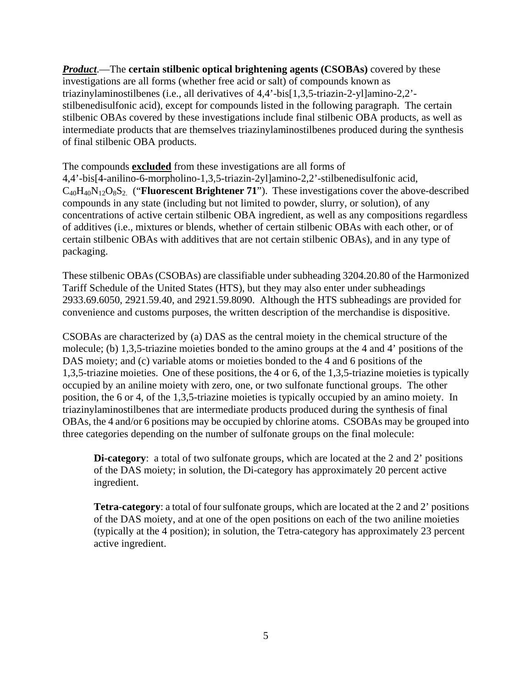*Product*.—The **certain stilbenic optical brightening agents (CSOBAs)** covered by these investigations are all forms (whether free acid or salt) of compounds known as triazinylaminostilbenes (i.e., all derivatives of 4,4'-bis[1,3,5-triazin-2-yl]amino-2,2' stilbenedisulfonic acid), except for compounds listed in the following paragraph. The certain stilbenic OBAs covered by these investigations include final stilbenic OBA products, as well as intermediate products that are themselves triazinylaminostilbenes produced during the synthesis of final stilbenic OBA products.

The compounds **excluded** from these investigations are all forms of 4,4'-bis[4-anilino-6-morpholino-1,3,5-triazin-2yl]amino-2,2'-stilbenedisulfonic acid, C40H40N12O8S2. ("**Fluorescent Brightener 71**"). These investigations cover the above-described compounds in any state (including but not limited to powder, slurry, or solution), of any concentrations of active certain stilbenic OBA ingredient, as well as any compositions regardless of additives (i.e., mixtures or blends, whether of certain stilbenic OBAs with each other, or of certain stilbenic OBAs with additives that are not certain stilbenic OBAs), and in any type of packaging.

These stilbenic OBAs (CSOBAs) are classifiable under subheading 3204.20.80 of the Harmonized Tariff Schedule of the United States (HTS), but they may also enter under subheadings 2933.69.6050, 2921.59.40, and 2921.59.8090. Although the HTS subheadings are provided for convenience and customs purposes, the written description of the merchandise is dispositive.

CSOBAs are characterized by (a) DAS as the central moiety in the chemical structure of the molecule; (b) 1,3,5-triazine moieties bonded to the amino groups at the 4 and 4' positions of the DAS moiety; and (c) variable atoms or moieties bonded to the 4 and 6 positions of the 1,3,5-triazine moieties. One of these positions, the 4 or 6, of the 1,3,5-triazine moieties is typically occupied by an aniline moiety with zero, one, or two sulfonate functional groups. The other position, the 6 or 4, of the 1,3,5-triazine moieties is typically occupied by an amino moiety. In triazinylaminostilbenes that are intermediate products produced during the synthesis of final OBAs, the 4 and/or 6 positions may be occupied by chlorine atoms. CSOBAs may be grouped into three categories depending on the number of sulfonate groups on the final molecule:

**Di-category**: a total of two sulfonate groups, which are located at the 2 and 2' positions of the DAS moiety; in solution, the Di-category has approximately 20 percent active ingredient.

**Tetra-category**: a total of four sulfonate groups, which are located at the 2 and 2' positions of the DAS moiety, and at one of the open positions on each of the two aniline moieties (typically at the 4 position); in solution, the Tetra-category has approximately 23 percent active ingredient.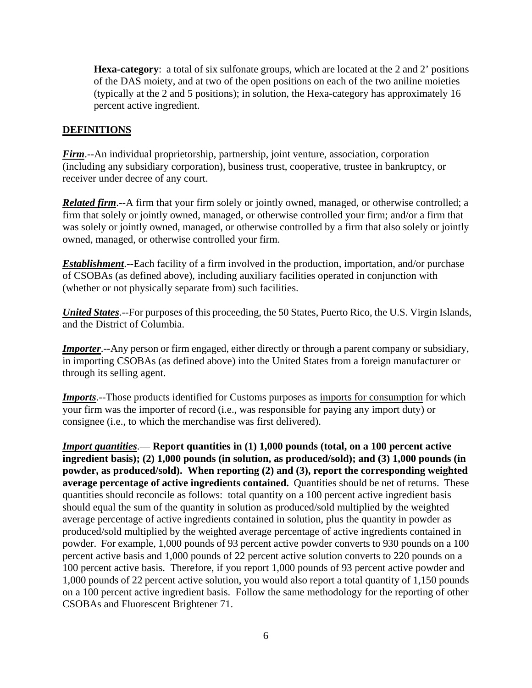**Hexa-category**: a total of six sulfonate groups, which are located at the 2 and 2' positions of the DAS moiety, and at two of the open positions on each of the two aniline moieties (typically at the 2 and 5 positions); in solution, the Hexa-category has approximately 16 percent active ingredient.

#### **DEFINITIONS**

*Firm*.--An individual proprietorship, partnership, joint venture, association, corporation (including any subsidiary corporation), business trust, cooperative, trustee in bankruptcy, or receiver under decree of any court.

*Related firm*.--A firm that your firm solely or jointly owned, managed, or otherwise controlled; a firm that solely or jointly owned, managed, or otherwise controlled your firm; and/or a firm that was solely or jointly owned, managed, or otherwise controlled by a firm that also solely or jointly owned, managed, or otherwise controlled your firm.

*Establishment*.--Each facility of a firm involved in the production, importation, and/or purchase of CSOBAs (as defined above), including auxiliary facilities operated in conjunction with (whether or not physically separate from) such facilities.

*United States*.--For purposes of this proceeding, the 50 States, Puerto Rico, the U.S. Virgin Islands, and the District of Columbia.

*Importer*.--Any person or firm engaged, either directly or through a parent company or subsidiary, in importing CSOBAs (as defined above) into the United States from a foreign manufacturer or through its selling agent.

*Imports*.--Those products identified for Customs purposes as imports for consumption for which your firm was the importer of record (i.e., was responsible for paying any import duty) or consignee (i.e., to which the merchandise was first delivered).

*Import quantities*.— **Report quantities in (1) 1,000 pounds (total, on a 100 percent active ingredient basis); (2) 1,000 pounds (in solution, as produced/sold); and (3) 1,000 pounds (in powder, as produced/sold). When reporting (2) and (3), report the corresponding weighted average percentage of active ingredients contained.** Quantities should be net of returns. These quantities should reconcile as follows: total quantity on a 100 percent active ingredient basis should equal the sum of the quantity in solution as produced/sold multiplied by the weighted average percentage of active ingredients contained in solution, plus the quantity in powder as produced/sold multiplied by the weighted average percentage of active ingredients contained in powder. For example, 1,000 pounds of 93 percent active powder converts to 930 pounds on a 100 percent active basis and 1,000 pounds of 22 percent active solution converts to 220 pounds on a 100 percent active basis. Therefore, if you report 1,000 pounds of 93 percent active powder and 1,000 pounds of 22 percent active solution, you would also report a total quantity of 1,150 pounds on a 100 percent active ingredient basis. Follow the same methodology for the reporting of other CSOBAs and Fluorescent Brightener 71.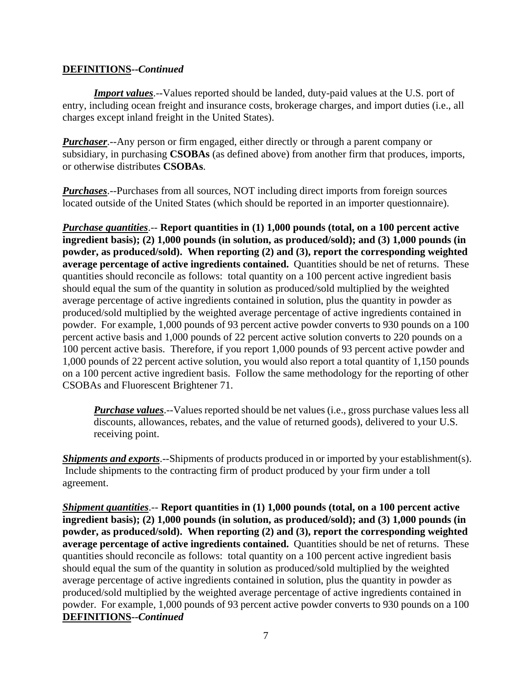#### **DEFINITIONS--***Continued*

*Import values*.--Values reported should be landed, duty-paid values at the U.S. port of entry, including ocean freight and insurance costs, brokerage charges, and import duties (i.e., all charges except inland freight in the United States).

*Purchaser*.--Any person or firm engaged, either directly or through a parent company or subsidiary, in purchasing **CSOBAs** (as defined above) from another firm that produces, imports, or otherwise distributes **CSOBAs**.

*Purchases*.--Purchases from all sources, NOT including direct imports from foreign sources located outside of the United States (which should be reported in an importer questionnaire).

*Purchase quantities*.-- **Report quantities in (1) 1,000 pounds (total, on a 100 percent active ingredient basis); (2) 1,000 pounds (in solution, as produced/sold); and (3) 1,000 pounds (in powder, as produced/sold). When reporting (2) and (3), report the corresponding weighted average percentage of active ingredients contained.** Quantities should be net of returns. These quantities should reconcile as follows: total quantity on a 100 percent active ingredient basis should equal the sum of the quantity in solution as produced/sold multiplied by the weighted average percentage of active ingredients contained in solution, plus the quantity in powder as produced/sold multiplied by the weighted average percentage of active ingredients contained in powder. For example, 1,000 pounds of 93 percent active powder converts to 930 pounds on a 100 percent active basis and 1,000 pounds of 22 percent active solution converts to 220 pounds on a 100 percent active basis. Therefore, if you report 1,000 pounds of 93 percent active powder and 1,000 pounds of 22 percent active solution, you would also report a total quantity of 1,150 pounds on a 100 percent active ingredient basis. Follow the same methodology for the reporting of other CSOBAs and Fluorescent Brightener 71.

*Purchase values*.--Values reported should be net values (i.e., gross purchase values less all discounts, allowances, rebates, and the value of returned goods), delivered to your U.S. receiving point.

*Shipments and exports*.--Shipments of products produced in or imported by your establishment(s). Include shipments to the contracting firm of product produced by your firm under a toll agreement.

*Shipment quantities*.-- **Report quantities in (1) 1,000 pounds (total, on a 100 percent active ingredient basis); (2) 1,000 pounds (in solution, as produced/sold); and (3) 1,000 pounds (in powder, as produced/sold). When reporting (2) and (3), report the corresponding weighted average percentage of active ingredients contained.** Quantities should be net of returns. These quantities should reconcile as follows: total quantity on a 100 percent active ingredient basis should equal the sum of the quantity in solution as produced/sold multiplied by the weighted average percentage of active ingredients contained in solution, plus the quantity in powder as produced/sold multiplied by the weighted average percentage of active ingredients contained in powder. For example, 1,000 pounds of 93 percent active powder converts to 930 pounds on a 100 **DEFINITIONS--***Continued*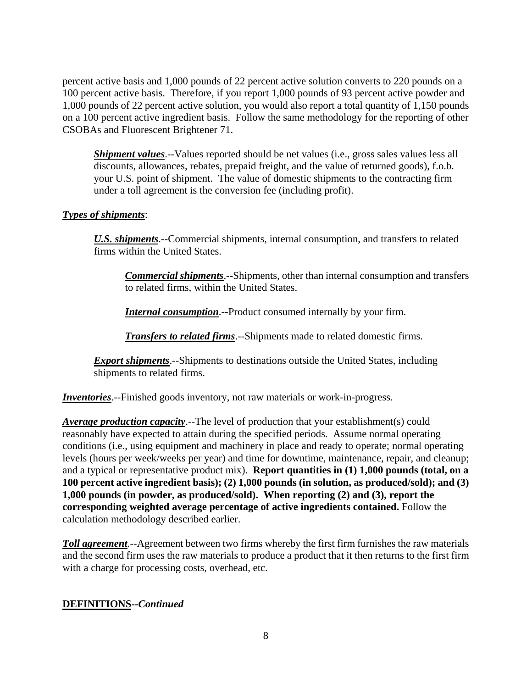percent active basis and 1,000 pounds of 22 percent active solution converts to 220 pounds on a 100 percent active basis. Therefore, if you report 1,000 pounds of 93 percent active powder and 1,000 pounds of 22 percent active solution, you would also report a total quantity of 1,150 pounds on a 100 percent active ingredient basis. Follow the same methodology for the reporting of other CSOBAs and Fluorescent Brightener 71.

*Shipment values*.--Values reported should be net values (i.e., gross sales values less all discounts, allowances, rebates, prepaid freight, and the value of returned goods), f.o.b. your U.S. point of shipment. The value of domestic shipments to the contracting firm under a toll agreement is the conversion fee (including profit).

#### *Types of shipments*:

*U.S. shipments*.--Commercial shipments, internal consumption, and transfers to related firms within the United States.

*Commercial shipments*.--Shipments, other than internal consumption and transfers to related firms, within the United States.

*Internal consumption*.--Product consumed internally by your firm.

*Transfers to related firms*.--Shipments made to related domestic firms.

*Export shipments*.--Shipments to destinations outside the United States, including shipments to related firms.

*Inventories*.--Finished goods inventory, not raw materials or work-in-progress.

*Average production capacity*.--The level of production that your establishment(s) could reasonably have expected to attain during the specified periods. Assume normal operating conditions (i.e., using equipment and machinery in place and ready to operate; normal operating levels (hours per week/weeks per year) and time for downtime, maintenance, repair, and cleanup; and a typical or representative product mix). **Report quantities in (1) 1,000 pounds (total, on a 100 percent active ingredient basis); (2) 1,000 pounds (in solution, as produced/sold); and (3) 1,000 pounds (in powder, as produced/sold). When reporting (2) and (3), report the corresponding weighted average percentage of active ingredients contained.** Follow the calculation methodology described earlier.

*Toll agreement*.--Agreement between two firms whereby the first firm furnishes the raw materials and the second firm uses the raw materials to produce a product that it then returns to the first firm with a charge for processing costs, overhead, etc.

#### **DEFINITIONS--***Continued*